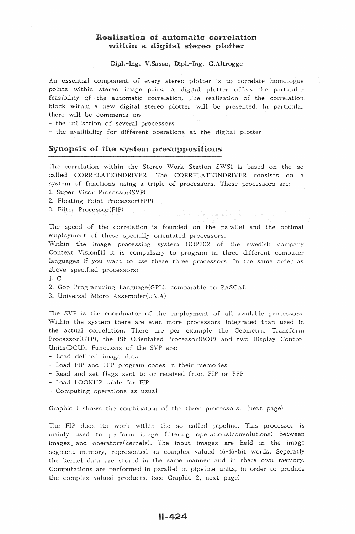# **Realisation of automatic correlation** within a digital stereo plotter

Dipl.-Ing. V.Sasse, Dipl.-Ing. G.Altrogge

An essential component of every stereo plotter is to correlate homologue points within stereo image palrs. A digital plotter offers the particular feasibility of the automatic correlation. The realisation of the correlation block within a new digital stereo plotter will be presented. In particular there will be comments on

- the utilisation of several processors

- the availibility for different operations at the digital plotter

## Synopsis of the system presuppositions

The correlation within the Stereo Work Station SWS1 is based on the so called CORRELATIONDRIVER. The CORRELATIONDRIVER consists on a system of functions using a triple of processors. These processors are:

1. Super Visor Processor(SVP)

2. Floating Point Processor(FPP)

3. Filter Processor(FIP)

The speed of the correlation is founded on the parallel and the optimal employment of these specially orientated processors.

Within the image processing system GOP302 of the swedish company Context Vision[1] it is compulsary to program in three different computer languages if you want to use these three processors. In the same order as above specified processors:

1. c

2. Gop Programming Language(GPL), comparable to PASCAL

3. Universal Micro Assembler(UMA)

The SVP is the coordinator of the employment of all available processors. Within the system there are even more processors integrated than used in the actual correlation. There are per example the Geometric Transform Processor(GTP), the Bit Orientated Processor(BOP) and two Display Control Units(DCU). Functions of the SVP are:

- Load defined image data

- Load FIP and FPP program codes in their memories
- Read and set flags sent to or received from FIP or FPP
- Load LOOKUP table for FIP
- Computing operations as usual

Graphic 1 shows the combination of the three processors. (next page)

The FIP does its work within the so called pipeline. This processor is mainly used to perform image filtering operations(convolutions) between images and operators(kernels). The 'input images are held in the image segment memory, represented as complex valued 16+16-bit words. Seperatly the kernel data are stored in the same manner and in there own memory. Computations are performed in parallel in pipeline units, in order to produce the complex valued products. (see Graphic 2, next page)

#### $11 - 424$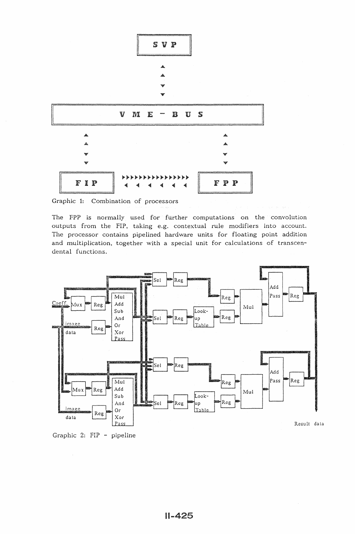

Graphic 1: Combination of processors

The FPP is normally used for further computations on the convolution outputs from the FIP, taking e.g. contextual rule modifiers into account. The processor contains pipelined hardware units for floating point addition and multiplication, together with a special unit for calculations of transcendental functions.



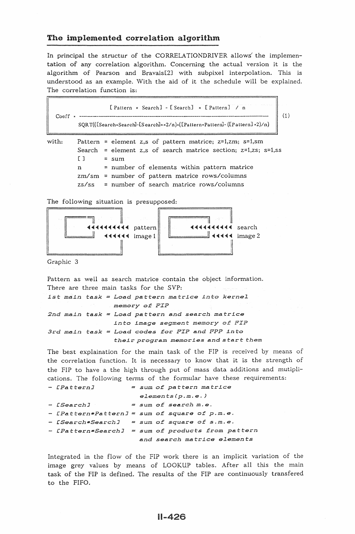# The implemented correlation algorithm

In principal the structur of the CORRELATIONDRIVER allows the implementation of any correlation algorithm. Concerning the actual version it is the algorithm of Pearson and Bravais[2J with subpixel interpolation. This is understood as an example. With the aid of it the schedule will be explained. The correlation function is:

[Pattern × Search] - [Search] × [Pattern] / n Coeff •  $\frac{1}{2}$  . The contract of  $\frac{1}{2}$  is the coeff  $\frac{1}{2}$  of  $\frac{1}{2}$  is the coeff  $\frac{1}{2}$  (1) SQRT(([Search×Search]-[Search]xx2/n)x([PatternxPattern]-([Pattern]x2)/n) with: Pattern = element z,s of pattern matrice;  $z=1, zm$ ; s=1,sm Search = element z,s of search matrice section;  $z=1, z$ s; s=1,ss  $[ ] = sum$ 

n = number of elements within pattern matrice  $zm/sm$  = number of pattern matrice rows/columns  $zs/ss$  = number of search matrice rows/columns

The following situation is presupposed:



Graphic 3

Pattern as well as search matrice contain the object information. There are three main tasks for the SVP: *1st main task = Load pattern matrice into kernel 2nd main task*  Load *pattern and search matrice 3rd main task Load codes* £or *FIP* and *FPP into memory ot: FIP into image segment* memory o£ *FIP their program memories* and start *them* 

The best explaination for the main task of the FIP is received by means of the correlation function. It is necessary to know that it is the strength of the FIP to have a the high through put of mass data additions and mutiplications. The following tenns of the formular have these requirements:

| - [Pattern] | = sum of pattern matrice                          |
|-------------|---------------------------------------------------|
|             | elements(p,m,e.)                                  |
| - [Search]  | $=$ sum of search $m.e.$                          |
|             | - [Pattern*Pattern] = sum of square of p.m.e.     |
|             | - [Search*Search] = sum of square of s.m.e.       |
|             | - [Pattern*Search] = sum of products from pattern |
|             | and search matrice elements                       |

Integrated in the flow of the FIP work there is an implicit variation of the image grey values by means of LOOKUP tables. After all this the main task of the FIP is defined. The results of the FIP are continuously transfered to the FIFO.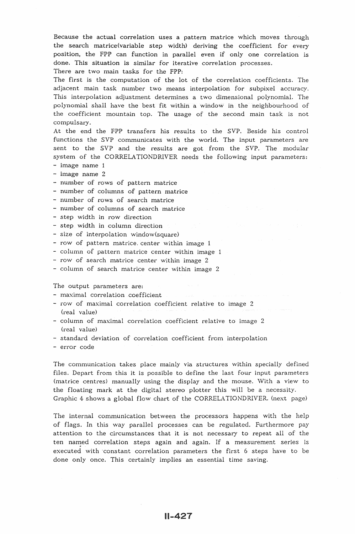Because the actual correlation uses a pattern matrice which moves through the search matrice(variable step width) deriving the coefficient for every position, the FPP can function in parallel even if only one correlation is done. This situation is similar for iterative correlation processes. There are two main tasks for the FPP:

The first is the computation of the lot of the correlation coefficients. The adjacent main task number two means interpolation for subpixel accuracy. This interpolation adjustment determines a two dimensional polynomial. The polynomial shall have the best fit within a window in the neighbourhood of the coefficient mountain top. The usage of the second main task is not compulsary.

At the end the FPP transfers his results to the SVP. Beside his control functions the SVP communicates with the world. The input parameters are sent to the SVP and the results are got from the SVP. The modular system of the CORRELATIONDRIVER needs the following input parameters: - image name 1

- image name 2
- 
- number of rows of pattern matrice
- number of columns of pattern matrice
- number of rows of search matrice
- number of columns of search matrice
- step width in row direction
- step width in column direction
- size of interpolation window(square)
- row of pattern matrice. center within image 1
- column of pattern matrice center within image 1
- $-$  row of search matrice center within image 2
- column of search matrice center within image 2

The output parameters are:

- maximal correlation coefficient
- row of maximal correlation coefficient relative to image 2 (real value)
- column of maximal correlation coefficient relative to image 2 (real value)
- standard deviation of correlation coefficient from interpolation
- error code

The communication takes place mainly via structures within specially defined files. Depart from this it is possible to define the last four input parameters (matrice centres) manually using the display and the mouse. \Vith a view to the floating mark at the digital stereo plotter this will be a necessity. Graphic 4 shows a global flow chart of the CORRELATIONDRIVER. (next page)

The internal communication between the processors happens with the help of flags. In this way parallel processes can be regulated. Furthermore pay attention to the circumstances that it is not necessary to repeat all of the ten named correlation steps again and again. If a measurement series is executed with constant correlation parameters the first 6 steps have to be done only once. This certainly implies an essential time saving.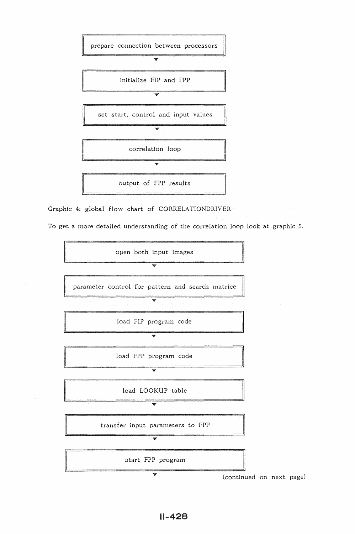

Graphic 4: global flow chart of CORRELA TIONDRIVER

To get a more detailed understanding of the correlation loop look at graphic 5.

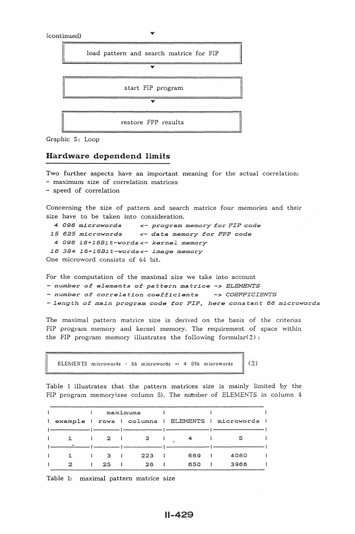

Graphic 5: Loop

# Hardware dependend limits

Two further aspects have an important meaning for the actual correlation; - maximum size of correlation matrices - speed of correlation Concerning the size of pattern and search matrice four memories and their size have to be taken into consideration. *4 096* ml.croword.s *<-* program memory £or *FIP code 15 625* ml.crowords *<- data.* memory £or *FPP code 4 096 16+16Bl.t-words<- kerneL memory 16 384 16+16Bl.t-words<- l.ma.ge memory*  One microword consists of 64 bit.

For the computation of the maximal size we take into account *number* o£ *eLements* o£ *pattern ma.trl.ce -> ELEMENTS*  - number *o£ correLation coe££1.cl.ents -> COEFFICIENTS -Length of ma.l.n program code* £or *FIP, here constant 66 ml.crowords* 

The maximal pattern matrice size is derived on the basis of the criterias FIP program memory and kernel memory. The requirement of space within the FIP program memory illustrates the following formular( $2$ ):

ELEMENTS microwords  $\cdot$  66 microwords  $\cdot$  4 096 microwords  $\|$  (2)

Table 1 illustrates that the pattern matrices size is mainly limited by the FIP program memory(see column 5). The number of ELEMENTS in column 4

|              |  |              | maximums |     |                                                  |  |
|--------------|--|--------------|----------|-----|--------------------------------------------------|--|
| $\mathbf{I}$ |  |              |          |     | example   rows   columns   ELEMENTS   microwords |  |
|              |  |              |          |     |                                                  |  |
|              |  | $\mathbf{z}$ |          |     | 5                                                |  |
|              |  |              |          |     |                                                  |  |
|              |  | -3-          | 223      | 669 | 4080                                             |  |
|              |  | 25           | 26       | 650 | 3966                                             |  |

Table 1: maximal pattern matrice size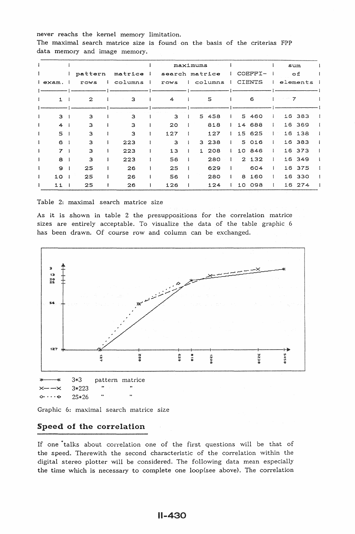never reachs the kernel memory limitation. The maximal search matrice size is found on the basis of the criterias FPP data memory and image memory.

|         |                |              |              |                | maximums       |  |         |    |               |              | sum                 |            |  |
|---------|----------------|--------------|--------------|----------------|----------------|--|---------|----|---------------|--------------|---------------------|------------|--|
|         |                | pattern      |              | matrice<br>- 1 | search matrice |  |         |    | COEFFI-       |              |                     | о£         |  |
| l exam. |                | rows         | $\mathbf{1}$ | columns        | rows           |  | columns |    | <b>CIENTS</b> |              |                     | elements i |  |
|         |                |              |              |                |                |  |         |    |               |              |                     |            |  |
|         | 1              | $\mathbf{2}$ |              | з              | 4              |  | 5       |    | 6             |              | 7<br>$\sim 10^{-1}$ |            |  |
|         |                |              |              |                |                |  |         |    |               |              |                     |            |  |
|         | з              | з            |              | 3              | 3              |  | 5 458   | 5  | 460           |              | 16                  | 383        |  |
|         | 4              | 3            |              | 3              | 20             |  | 818     |    | 14 688        |              |                     | 16 369     |  |
|         | 5              | з            |              | 3              | 127            |  | 127     |    | 15 625        |              | 16                  | 138        |  |
|         | 6              | 3            |              | 223            | 3              |  | 3 238   |    | 5 016         | $\mathbf{I}$ |                     | 16 383     |  |
|         | $\overline{7}$ | 3            |              | 223            | 13             |  | 208     |    | 10 846        |              | 16                  | 373        |  |
|         | 8              | з            |              | 223            | 56             |  | 280     |    | 2, 132        |              |                     | 16 349     |  |
|         | $\mathbf{Q}$   | 25           |              | 26             | 25             |  | 629     |    | 604           |              | 16                  | 375        |  |
|         | 10             | 25           |              | 26             | 56             |  | 280     | 8  | 160           |              | 16                  | 330        |  |
|         | 11             | 25           |              | 26             | 126            |  | 124     | 10 | 098           |              | 16 <sup>°</sup>     | 274        |  |

Table 2: maximal search matrice size

As it is shown in table 2 the presuppositions for the correlation matrice sizes are entirely acceptable. To visualize the data of the table graphic 6 has been drawn. Of course row and column can be exchanged.



Graphic 6: maximal search matrice size

# Speed of the correlation

If one talks about correlation one of the first questions will be that of the speed. Therewith the second characteristic of the correlation within the digital stereo plotter will be considered. The following data mean especially the time which is necessary to complete one loop(see above). The correlation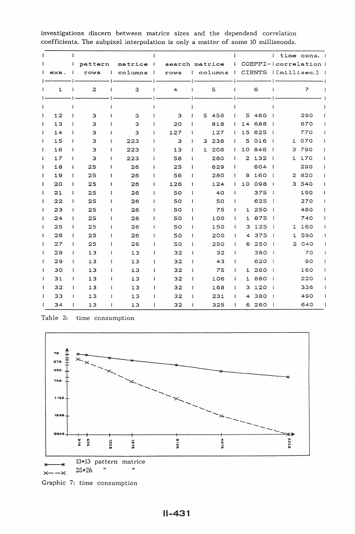|              |      |              |                  |              |         | -1           |                |              |              |         |              |                |               | $\mathbf{I}$ |              | time cons.          |  |
|--------------|------|--------------|------------------|--------------|---------|--------------|----------------|--------------|--------------|---------|--------------|----------------|---------------|--------------|--------------|---------------------|--|
|              |      | $\mathbf{I}$ | pattern          |              | matrice | -1           | search matrice |              |              |         |              |                |               |              |              | COEFFI-lcorrelation |  |
| Ł            | exa. |              | rows             | $\mathbf{I}$ | columns | - 1          | rows           |              |              | columns | $\mathbf{I}$ |                | <b>CIENTS</b> |              |              | $ $ [millisec.] $ $ |  |
|              | 1    |              | $\boldsymbol{z}$ |              | з       |              | $\overline{4}$ |              |              | 5       |              |                | 6             |              |              | $\overline{7}$      |  |
| I            |      |              |                  |              |         | ı            |                |              |              |         |              |                |               |              |              |                     |  |
| I            | 12   | Ŧ            | 3                | $\mathbf{I}$ | 3       | ÷            | з              | 1            | 5.           | 458     |              | 5              | 460           | - 1          |              | 290                 |  |
| ł            | 13   | 1            | 3                | 1            | 3       | ł            | 20             | 1            |              | 818     |              | 14             | 688           | - 1          |              | 670                 |  |
| ł            | 14   | 1            | 3                | $\mathbf{I}$ | 3       | I            | 127            | 1            |              | 127     | J.           | 15             | 625           | - 1          |              | 770                 |  |
| I            | 15   | ŧ            | 3                | 1            | 223     | I            | 3              | 1            | 3            | 238     | $\mathbf{I}$ | 5              | 016           |              | 1            | 070                 |  |
| I            | 16   | T            | з                | $\mathbf{I}$ | 223     | 1            | 13             | 1            | $\mathbf{1}$ | 208     |              | 10             | 846           | - 1          | з            | 790                 |  |
| ł            | 17   | 1            | 3                | ł            | 223     | 1            | 56             | 1            |              | 280     | 1            | $\overline{a}$ | 132           |              | 1            | 170                 |  |
| ı            | 18   | 1            | 25               | $\mathbf{I}$ | 26      | 1            | 25             | -1           |              | 629     | $\mathbf{I}$ |                | 604           | - 1          |              | 290                 |  |
| ı            | 19   | ı            | 25               | T            | 26      | ł            | 56             | J            |              | 280     | -1           | 8              | 160           |              | $\mathbf{2}$ | 820                 |  |
| ı            | 20   | 1            | 25               | ŧ            | 26      | -1           | 126            | 1            |              | 124     | H            | 10             | 098           | -1           | з            | 540                 |  |
| t            | 21   | 1            | 25               | I            | 26      | 1            | 50             | $\mathbf{I}$ |              | 40      |              |                | 375           | $\mathbf{I}$ |              | 190                 |  |
| 1            | 22   | ł            | 25               | ı            | 26      | ł            | 50             | t            |              | 50      |              |                | 625           | $\mathbf{I}$ |              | 270                 |  |
| 1            | 23   | ł            | 25               | ŧ            | 26      |              | 50             | Ħ            |              | 75      |              | 1              | 250           | $\mathbf{1}$ |              | 480                 |  |
| 1            | 24   | Ţ            | 25               | ł            | 26      | ł            | 50             | 1            |              | 100     |              | 1              | 875           | -1           |              | 740                 |  |
| $\mathbf{I}$ | 25   | ŧ            | 25               |              | 26      | T            | 50             |              |              | 150     |              | з              | 125           | -1           | $\mathbf{1}$ | 160                 |  |
| t            | 26   | ł            | 25               | 1            | 26      | ł            | 50             | $\mathbf{I}$ |              | 200     | 1            | 4              | 375           | -1           | 1            | 590                 |  |
| $\mathbf{I}$ | 27   | ŧ            | 25               | $\mathbf{I}$ | 26      | -1           | 50             | $\mathbf{I}$ |              | 250     | 1            | 6              | 250           |              | 2.           | 040                 |  |
| $\mathbf{I}$ | 28   | 1            | 13               | $\mathbf{I}$ | 13      |              | 32             | $\mathbf{I}$ |              | 32      | -1           |                | 380           | - 1          |              | 70                  |  |
| ŧ            | 29   | 1            | 13               | 1            | 13      | $\mathbf{I}$ | 32             | 1            |              | 43      |              |                | 620           | - 1          |              | 90                  |  |
| L            | 30   | 1            | 13               |              | 13      |              | 32             | 1            |              | 75      | 1            | 1              | 260           | -1           |              | 160                 |  |
| ſ            | 31   | 1            | 13               |              | 13      |              | 32             |              |              | 106     |              | 1              | 880           | - 1          |              | 220                 |  |
|              | 32   |              | 13               |              | 13      |              | 32             | ł            |              | 168     |              | з              | 120           |              |              | 336                 |  |
|              | 33   |              | 13               |              | 13      | Ţ            | 32             | $\mathbf{I}$ |              | 231     |              | 4              | 380           |              |              | 490                 |  |
|              | 34   |              | 13               |              | 13      |              | 32             |              |              | 325     |              | 6              | 260           |              |              | 640                 |  |

investigations discern between matrice sizes and the dependend correlation coefficients. The subpixel interpolation is only a matter of some 10 milliseonds.

Table 3: time consumption



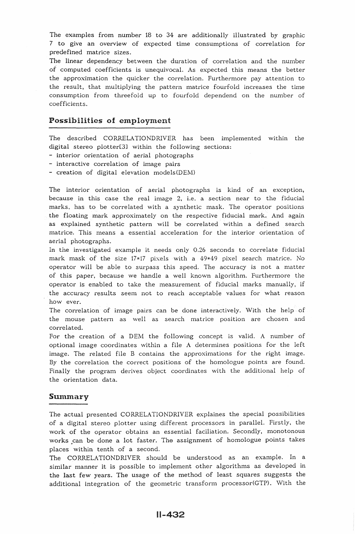The examples from number 18 to 34 are additionally illustrated by graphic 7 to give an overview of expected time consumptions of correlation for predefined matrice sizes.

The linear dependency between the duration of correlation and the number of computed coefficients is unequivocal. As expected this means the better the approximation the quicker the correlation. Furthermore pay attention to the result, that multiplying the pattern matrice fourfold increases the time consumption from threefold up to fourfold dependend on the number of coefficients.

### Possibilities of employment

The described CORRELATIONDRIVER has been implemented within the digital stereo plotter[3] within the following sections:

- interior orientation of aerial photographs
- interactive correlation of image pairs
- $-$  creation of digital elevation models(DEM)

The interior orientation of aerial photographs is kind of an exception, because in this case the real image 2, i.e. a section near to the fiducial marks, has to be correlated with a synthetic mask. The operator positions the floating mark approximately on the respective fiducial mark. And again as explained synthetic pattern will be correlated within a defined search matrice. This means a essential acceleration for the interior orientation of aerial photographs.

In the investigated example it needs only 0.26 seconds to correlate fiducial mark mask of the size 17\*17 pixels with a 49\*49 pixel search matrice. No operator will be able to surpass this speed. The accuracy is not a matter of this paper, because we handle a well known algorithm. Furthermore the operator is enabled to take the measurement of fiducial marks manually, if the accuracy results seem not to reach acceptable values for what reason how ever.

The correlation of image pairs can be done interactively. With the help of the mouse pattern as well as search matrice position are chosen and correlated.

For the creation of a DEM the following concept is valid. A number of optional image coordinates within a file A determines positions for the left image. The related file B contains the approximations for the right image. By the correlation the correct positions of the homologue points are found. Finally the program derives object coordinates with the additional help of the orientation data.

#### Summary

The actual presented CORRELATIONDRIVER explaines the special possibilities of a digital stereo plotter using different processors in parallel. Firstly, the work of the operator obtains an essential faciliation. Secondly, monotonous works can be done a lot faster. The assignment of homologue points takes places within tenth of a second.

The CORRELATIONDRIVER should be understood as an example. In a similar manner it is possible to implement other algorithms as developed in the last few years. The usage of the method of least squares suggests the additional integration of the geometric transform processor(GTP). With the